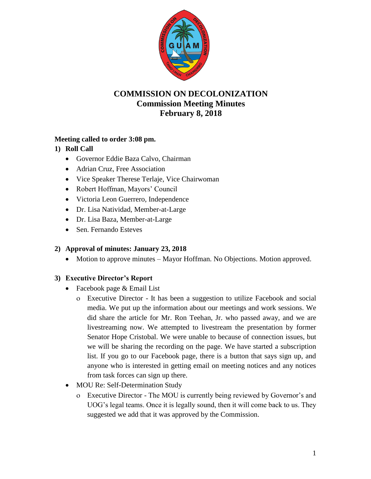

# **COMMISSION ON DECOLONIZATION Commission Meeting Minutes February 8, 2018**

### **Meeting called to order 3:08 pm.**

### **1) Roll Call**

- Governor Eddie Baza Calvo, Chairman
- Adrian Cruz, Free Association
- Vice Speaker Therese Terlaje, Vice Chairwoman
- Robert Hoffman, Mayors' Council
- Victoria Leon Guerrero, Independence
- Dr. Lisa Natividad, Member-at-Large
- Dr. Lisa Baza, Member-at-Large
- Sen. Fernando Esteves

#### **2) Approval of minutes: January 23, 2018**

• Motion to approve minutes – Mayor Hoffman. No Objections. Motion approved.

## **3) Executive Director's Report**

- Facebook page & Email List
	- Executive Director It has been a suggestion to utilize Facebook and social media. We put up the information about our meetings and work sessions. We did share the article for Mr. Ron Teehan, Jr. who passed away, and we are livestreaming now. We attempted to livestream the presentation by former Senator Hope Cristobal. We were unable to because of connection issues, but we will be sharing the recording on the page. We have started a subscription list. If you go to our Facebook page, there is a button that says sign up, and anyone who is interested in getting email on meeting notices and any notices from task forces can sign up there.
- MOU Re: Self-Determination Study
	- Executive Director The MOU is currently being reviewed by Governor's and UOG's legal teams. Once it is legally sound, then it will come back to us. They suggested we add that it was approved by the Commission.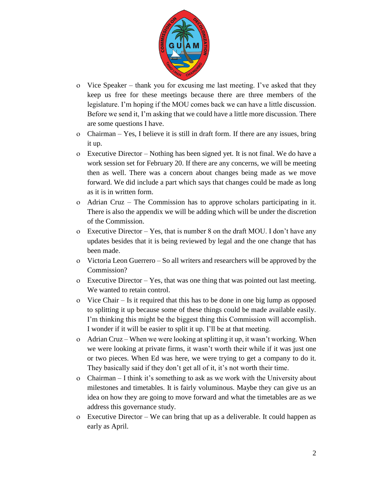

- Vice Speaker thank you for excusing me last meeting. I've asked that they keep us free for these meetings because there are three members of the legislature. I'm hoping if the MOU comes back we can have a little discussion. Before we send it, I'm asking that we could have a little more discussion. There are some questions I have.
- Chairman Yes, I believe it is still in draft form. If there are any issues, bring it up.
- Executive Director Nothing has been signed yet. It is not final. We do have a work session set for February 20. If there are any concerns, we will be meeting then as well. There was a concern about changes being made as we move forward. We did include a part which says that changes could be made as long as it is in written form.
- Adrian Cruz The Commission has to approve scholars participating in it. There is also the appendix we will be adding which will be under the discretion of the Commission.
- Executive Director Yes, that is number 8 on the draft MOU. I don't have any updates besides that it is being reviewed by legal and the one change that has been made.
- Victoria Leon Guerrero So all writers and researchers will be approved by the Commission?
- Executive Director Yes, that was one thing that was pointed out last meeting. We wanted to retain control.
- Vice Chair Is it required that this has to be done in one big lump as opposed to splitting it up because some of these things could be made available easily. I'm thinking this might be the biggest thing this Commission will accomplish. I wonder if it will be easier to split it up. I'll be at that meeting.
- Adrian Cruz When we were looking at splitting it up, it wasn't working. When we were looking at private firms, it wasn't worth their while if it was just one or two pieces. When Ed was here, we were trying to get a company to do it. They basically said if they don't get all of it, it's not worth their time.
- Chairman I think it's something to ask as we work with the University about milestones and timetables. It is fairly voluminous. Maybe they can give us an idea on how they are going to move forward and what the timetables are as we address this governance study.
- Executive Director We can bring that up as a deliverable. It could happen as early as April.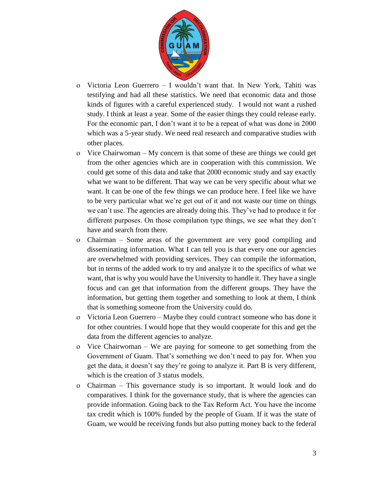

- Victoria Leon Guerrero I wouldn't want that. In New York, Tahiti was testifying and had all these statistics. We need that economic data and those kinds of figures with a careful experienced study. I would not want a rushed study. I think at least a year. Some of the easier things they could release early. For the economic part, I don't want it to be a repeat of what was done in 2000 which was a 5-year study. We need real research and comparative studies with other places.
- Vice Chairwoman My concern is that some of these are things we could get from the other agencies which are in cooperation with this commission. We could get some of this data and take that 2000 economic study and say exactly what we want to be different. That way we can be very specific about what we want. It can be one of the few things we can produce here. I feel like we have to be very particular what we're get out of it and not waste our time on things we can't use. The agencies are already doing this. They've had to produce it for different purposes. On those compilation type things, we see what they don't have and search from there.
- Chairman Some areas of the government are very good compiling and disseminating information. What I can tell you is that every one our agencies are overwhelmed with providing services. They can compile the information, but in terms of the added work to try and analyze it to the specifics of what we want, that is why you would have the University to handle it. They have a single focus and can get that information from the different groups. They have the information, but getting them together and something to look at them, I think that is something someone from the University could do.
- Victoria Leon Guerrero Maybe they could contract someone who has done it for other countries. I would hope that they would cooperate for this and get the data from the different agencies to analyze.
- Vice Chairwoman We are paying for someone to get something from the Government of Guam. That's something we don't need to pay for. When you get the data, it doesn't say they're going to analyze it. Part B is very different, which is the creation of 3 status models.
- Chairman This governance study is so important. It would look and do comparatives. I think for the governance study, that is where the agencies can provide information. Going back to the Tax Reform Act. You have the income tax credit which is 100% funded by the people of Guam. If it was the state of Guam, we would be receiving funds but also putting money back to the federal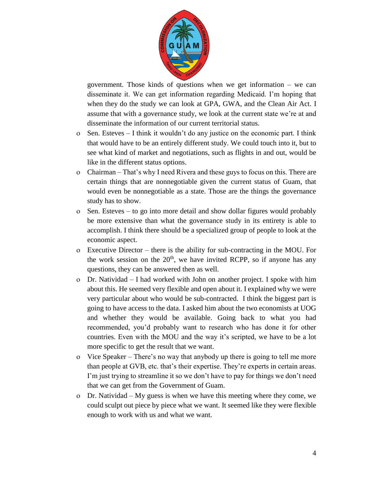

government. Those kinds of questions when we get information – we can disseminate it. We can get information regarding Medicaid. I'm hoping that when they do the study we can look at GPA, GWA, and the Clean Air Act. I assume that with a governance study, we look at the current state we're at and disseminate the information of our current territorial status.

- Sen. Esteves I think it wouldn't do any justice on the economic part. I think that would have to be an entirely different study. We could touch into it, but to see what kind of market and negotiations, such as flights in and out, would be like in the different status options.
- Chairman That's why I need Rivera and these guys to focus on this. There are certain things that are nonnegotiable given the current status of Guam, that would even be nonnegotiable as a state. Those are the things the governance study has to show.
- Sen. Esteves to go into more detail and show dollar figures would probably be more extensive than what the governance study in its entirety is able to accomplish. I think there should be a specialized group of people to look at the economic aspect.
- Executive Director there is the ability for sub-contracting in the MOU. For the work session on the  $20<sup>th</sup>$ , we have invited RCPP, so if anyone has any questions, they can be answered then as well.
- Dr. Natividad I had worked with John on another project. I spoke with him about this. He seemed very flexible and open about it. I explained why we were very particular about who would be sub-contracted. I think the biggest part is going to have access to the data. I asked him about the two economists at UOG and whether they would be available. Going back to what you had recommended, you'd probably want to research who has done it for other countries. Even with the MOU and the way it's scripted, we have to be a lot more specific to get the result that we want.
- Vice Speaker There's no way that anybody up there is going to tell me more than people at GVB, etc. that's their expertise. They're experts in certain areas. I'm just trying to streamline it so we don't have to pay for things we don't need that we can get from the Government of Guam.
- Dr. Natividad My guess is when we have this meeting where they come, we could sculpt out piece by piece what we want. It seemed like they were flexible enough to work with us and what we want.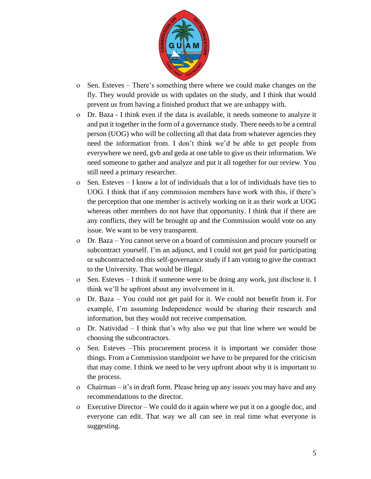

- Sen. Esteves There's something there where we could make changes on the fly. They would provide us with updates on the study, and I think that would prevent us from having a finished product that we are unhappy with.
- Dr. Baza I think even if the data is available, it needs someone to analyze it and put it together in the form of a governance study. There needs to be a central person (UOG) who will be collecting all that data from whatever agencies they need the information from. I don't think we'd be able to get people from everywhere we need, gvb and geda at one table to give us their information. We need someone to gather and analyze and put it all together for our review. You still need a primary researcher.
- $\circ$  Sen. Esteves I know a lot of individuals that a lot of individuals have ties to UOG. I think that if any commission members have work with this, if there's the perception that one member is actively working on it as their work at UOG whereas other members do not have that opportunity. I think that if there are any conflicts, they will be brought up and the Commission would vote on any issue. We want to be very transparent.
- Dr. Baza You cannot serve on a board of commission and procure yourself or subcontract yourself. I'm an adjunct, and I could not get paid for participating or subcontracted on this self-governance study if I am voting to give the contract to the University. That would be illegal.
- Sen. Esteves I think if someone were to be doing any work, just disclose it. I think we'll be upfront about any involvement in it.
- Dr. Baza You could not get paid for it. We could not benefit from it. For example, I'm assuming Independence would be sharing their research and information, but they would not receive compensation.
- Dr. Natividad I think that's why also we put that line where we would be choosing the subcontractors.
- Sen. Esteves –This procurement process it is important we consider those things. From a Commission standpoint we have to be prepared for the criticism that may come. I think we need to be very upfront about why it is important to the process.
- Chairman it's in draft form. Please bring up any issues you may have and any recommendations to the director.
- Executive Director We could do it again where we put it on a google doc, and everyone can edit. That way we all can see in real time what everyone is suggesting.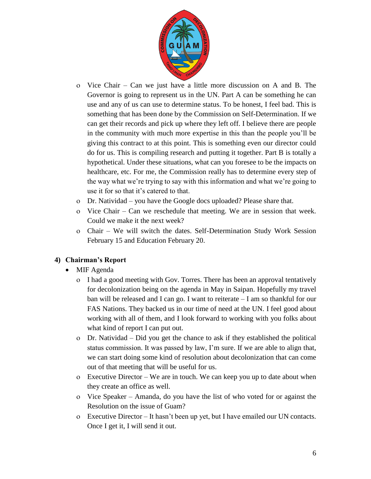

- Vice Chair Can we just have a little more discussion on A and B. The Governor is going to represent us in the UN. Part A can be something he can use and any of us can use to determine status. To be honest, I feel bad. This is something that has been done by the Commission on Self-Determination. If we can get their records and pick up where they left off. I believe there are people in the community with much more expertise in this than the people you'll be giving this contract to at this point. This is something even our director could do for us. This is compiling research and putting it together. Part B is totally a hypothetical. Under these situations, what can you foresee to be the impacts on healthcare, etc. For me, the Commission really has to determine every step of the way what we're trying to say with this information and what we're going to use it for so that it's catered to that.
- Dr. Natividad you have the Google docs uploaded? Please share that.
- Vice Chair Can we reschedule that meeting. We are in session that week. Could we make it the next week?
- Chair We will switch the dates. Self-Determination Study Work Session February 15 and Education February 20.

# **4) Chairman's Report**

- MIF Agenda
	- I had a good meeting with Gov. Torres. There has been an approval tentatively for decolonization being on the agenda in May in Saipan. Hopefully my travel ban will be released and I can go. I want to reiterate – I am so thankful for our FAS Nations. They backed us in our time of need at the UN. I feel good about working with all of them, and I look forward to working with you folks about what kind of report I can put out.
	- Dr. Natividad Did you get the chance to ask if they established the political status commission. It was passed by law, I'm sure. If we are able to align that, we can start doing some kind of resolution about decolonization that can come out of that meeting that will be useful for us.
	- Executive Director We are in touch. We can keep you up to date about when they create an office as well.
	- Vice Speaker Amanda, do you have the list of who voted for or against the Resolution on the issue of Guam?
	- Executive Director It hasn't been up yet, but I have emailed our UN contacts. Once I get it, I will send it out.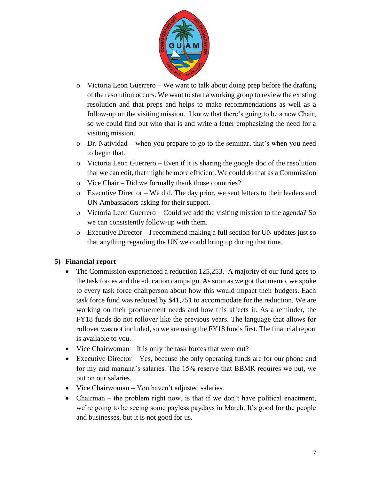

- Victoria Leon Guerrero We want to talk about doing prep before the drafting of the resolution occurs. We want to start a working group to review the existing resolution and that preps and helps to make recommendations as well as a follow-up on the visiting mission. I know that there's going to be a new Chair, so we could find out who that is and write a letter emphasizing the need for a visiting mission.
- Dr. Natividad when you prepare to go to the seminar, that's when you need to begin that.
- Victoria Leon Guerrero Even if it is sharing the google doc of the resolution that we can edit, that might be more efficient. We could do that as a Commission
- Vice Chair Did we formally thank those countries?
- Executive Director We did. The day prior, we sent letters to their leaders and UN Ambassadors asking for their support.
- Victoria Leon Guerrero Could we add the visiting mission to the agenda? So we can consistently follow-up with them.
- Executive Director I recommend making a full section for UN updates just so that anything regarding the UN we could bring up during that time.

## **5) Financial report**

- The Commission experienced a reduction 125,253. A majority of our fund goes to the task forces and the education campaign. As soon as we got that memo, we spoke to every task force chairperson about how this would impact their budgets. Each task force fund was reduced by \$41,751 to accommodate for the reduction. We are working on their procurement needs and how this affects it. As a reminder, the FY18 funds do not rollover like the previous years. The language that allows for rollover was not included, so we are using the FY18 funds first. The financial report is available to you.
- Vice Chairwoman It is only the task forces that were cut?
- Executive Director Yes, because the only operating funds are for our phone and for my and mariana's salaries. The 15% reserve that BBMR requires we put, we put on our salaries.
- Vice Chairwoman You haven't adjusted salaries.
- Chairman the problem right now, is that if we don't have political enactment, we're going to be seeing some payless paydays in March. It's good for the people and businesses, but it is not good for us.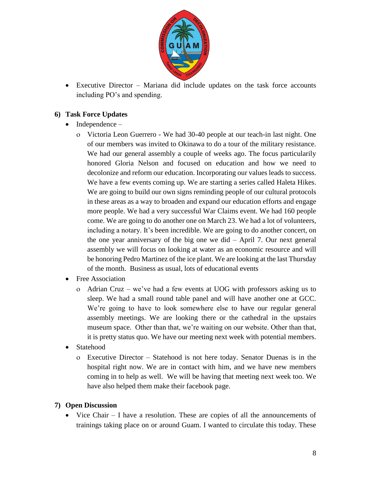

 Executive Director – Mariana did include updates on the task force accounts including PO's and spending.

### **6) Task Force Updates**

- $\bullet$  Independence
	- Victoria Leon Guerrero We had 30-40 people at our teach-in last night. One of our members was invited to Okinawa to do a tour of the military resistance. We had our general assembly a couple of weeks ago. The focus particularily honored Gloria Nelson and focused on education and how we need to decolonize and reform our education. Incorporating our values leads to success. We have a few events coming up. We are starting a series called Haleta Hikes. We are going to build our own signs reminding people of our cultural protocols in these areas as a way to broaden and expand our education efforts and engage more people. We had a very successful War Claims event. We had 160 people come. We are going to do another one on March 23. We had a lot of volunteers, including a notary. It's been incredible. We are going to do another concert, on the one year anniversary of the big one we did – April 7. Our next general assembly we will focus on looking at water as an economic resource and will be honoring Pedro Martinez of the ice plant. We are looking at the last Thursday of the month. Business as usual, lots of educational events
- Free Association
	- Adrian Cruz we've had a few events at UOG with professors asking us to sleep. We had a small round table panel and will have another one at GCC. We're going to have to look somewhere else to have our regular general assembly meetings. We are looking there or the cathedral in the upstairs museum space. Other than that, we're waiting on our website. Other than that, it is pretty status quo. We have our meeting next week with potential members.
- Statehood
	- Executive Director Statehood is not here today. Senator Duenas is in the hospital right now. We are in contact with him, and we have new members coming in to help as well. We will be having that meeting next week too. We have also helped them make their facebook page.

#### **7) Open Discussion**

 Vice Chair – I have a resolution. These are copies of all the announcements of trainings taking place on or around Guam. I wanted to circulate this today. These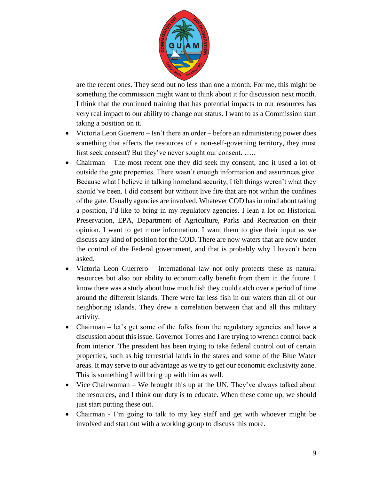

are the recent ones. They send out no less than one a month. For me, this might be something the commission might want to think about it for discussion next month. I think that the continued training that has potential impacts to our resources has very real impact to our ability to change our status. I want to as a Commission start taking a position on it.

- Victoria Leon Guerrero Isn't there an order before an administering power does something that affects the resources of a non-self-governing territory, they must first seek consent? But they've never sought our consent. …..
- Chairman The most recent one they did seek my consent, and it used a lot of outside the gate properties. There wasn't enough information and assurances give. Because what I believe in talking homeland security, I felt things weren't what they should've been. I did consent but without live fire that are not within the confines of the gate. Usually agencies are involved. Whatever COD has in mind about taking a position, I'd like to bring in my regulatory agencies. I lean a lot on Historical Preservation, EPA, Department of Agriculture, Parks and Recreation on their opinion. I want to get more information. I want them to give their input as we discuss any kind of position for the COD. There are now waters that are now under the control of the Federal government, and that is probably why I haven't been asked.
- Victoria Leon Guerrero international law not only protects these as natural resources but also our ability to economically benefit from them in the future. I know there was a study about how much fish they could catch over a period of time around the different islands. There were far less fish in our waters than all of our neighboring islands. They drew a correlation between that and all this military activity.
- Chairman let's get some of the folks from the regulatory agencies and have a discussion about this issue. Governor Torres and I are trying to wrench control back from interior. The president has been trying to take federal control out of certain properties, such as big terrestrial lands in the states and some of the Blue Water areas. It may serve to our advantage as we try to get our economic exclusivity zone. This is something I will bring up with him as well.
- Vice Chairwoman We brought this up at the UN. They've always talked about the resources, and I think our duty is to educate. When these come up, we should just start putting these out.
- Chairman I'm going to talk to my key staff and get with whoever might be involved and start out with a working group to discuss this more.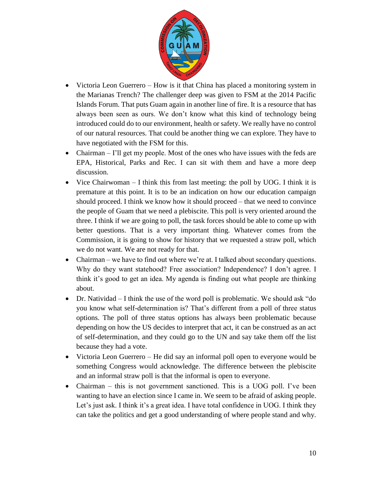

- Victoria Leon Guerrero How is it that China has placed a monitoring system in the Marianas Trench? The challenger deep was given to FSM at the 2014 Pacific Islands Forum. That puts Guam again in another line of fire. It is a resource that has always been seen as ours. We don't know what this kind of technology being introduced could do to our environment, health or safety. We really have no control of our natural resources. That could be another thing we can explore. They have to have negotiated with the FSM for this.
- Chairman I'll get my people. Most of the ones who have issues with the feds are EPA, Historical, Parks and Rec. I can sit with them and have a more deep discussion.
- Vice Chairwoman  $I$  think this from last meeting: the poll by UOG. I think it is premature at this point. It is to be an indication on how our education campaign should proceed. I think we know how it should proceed – that we need to convince the people of Guam that we need a plebiscite. This poll is very oriented around the three. I think if we are going to poll, the task forces should be able to come up with better questions. That is a very important thing. Whatever comes from the Commission, it is going to show for history that we requested a straw poll, which we do not want. We are not ready for that.
- Chairman we have to find out where we're at. I talked about secondary questions. Why do they want statehood? Free association? Independence? I don't agree. I think it's good to get an idea. My agenda is finding out what people are thinking about.
- Dr. Natividad I think the use of the word poll is problematic. We should ask "do you know what self-determination is? That's different from a poll of three status options. The poll of three status options has always been problematic because depending on how the US decides to interpret that act, it can be construed as an act of self-determination, and they could go to the UN and say take them off the list because they had a vote.
- Victoria Leon Guerrero He did say an informal poll open to everyone would be something Congress would acknowledge. The difference between the plebiscite and an informal straw poll is that the informal is open to everyone.
- Chairman this is not government sanctioned. This is a UOG poll. I've been wanting to have an election since I came in. We seem to be afraid of asking people. Let's just ask. I think it's a great idea. I have total confidence in UOG. I think they can take the politics and get a good understanding of where people stand and why.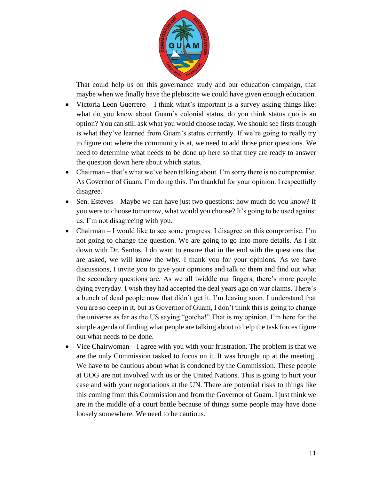

That could help us on this governance study and our education campaign, that maybe when we finally have the plebiscite we could have given enough education.

- Victoria Leon Guerrero  $-1$  think what's important is a survey asking things like: what do you know about Guam's colonial status, do you think status quo is an option? You can still ask what you would choose today. We should see firsts though is what they've learned from Guam's status currently. If we're going to really try to figure out where the community is at, we need to add those prior questions. We need to determine what needs to be done up here so that they are ready to answer the question down here about which status.
- Chairman that's what we've been talking about. I'm sorry there is no compromise. As Governor of Guam, I'm doing this. I'm thankful for your opinion. I respectfully disagree.
- Sen. Esteves Maybe we can have just two questions: how much do you know? If you were to choose tomorrow, what would you choose? It's going to be used against us. I'm not disagreeing with you.
- Chairman I would like to see some progress. I disagree on this compromise. I'm not going to change the question. We are going to go into more details. As I sit down with Dr. Santos, I do want to ensure that in the end with the questions that are asked, we will know the why. I thank you for your opinions. As we have discussions, I invite you to give your opinions and talk to them and find out what the secondary questions are. As we all twiddle our fingers, there's more people dying everyday. I wish they had accepted the deal years ago on war claims. There's a bunch of dead people now that didn't get it. I'm leaving soon. I understand that you are so deep in it, but as Governor of Guam, I don't think this is going to change the universe as far as the US saying "gotcha!" That is my opinion. I'm here for the simple agenda of finding what people are talking about to help the task forces figure out what needs to be done.
- Vice Chairwoman I agree with you with your frustration. The problem is that we are the only Commission tasked to focus on it. It was brought up at the meeting. We have to be cautious about what is condoned by the Commission. These people at UOG are not involved with us or the United Nations. This is going to hurt your case and with your negotiations at the UN. There are potential risks to things like this coming from this Commission and from the Governor of Guam. I just think we are in the middle of a court battle because of things some people may have done loosely somewhere. We need to be cautious.